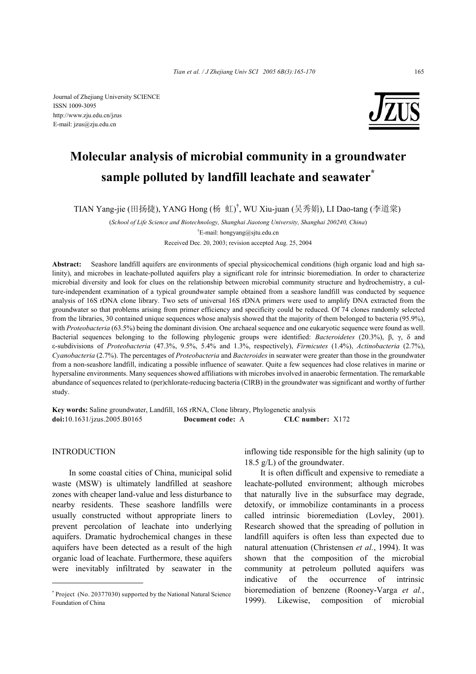Journal of Zhejiang University SCIENCE ISSN 1009-3095 http://www.zju.edu.cn/jzus E-mail: jzus@zju.edu.cn



# **Molecular analysis of microbial community in a groundwater sample polluted by landfill leachate and seawater\***

TIAN Yang-jie (田扬捷), YANG Hong (杨 虹) † , WU Xiu-juan (吴秀娟), LI Dao-tang (李道棠)

(*School of Life Science and Biotechnology, Shanghai Jiaotong University, Shanghai 200240, China*)

† E-mail: hongyang@sjtu.edu.cn

Received Dec. 20, 2003; revision accepted Aug. 25, 2004

Abstract: Seashore landfill aquifers are environments of special physicochemical conditions (high organic load and high salinity), and microbes in leachate-polluted aquifers play a significant role for intrinsic bioremediation. In order to characterize microbial diversity and look for clues on the relationship between microbial community structure and hydrochemistry, a culture-independent examination of a typical groundwater sample obtained from a seashore landfill was conducted by sequence analysis of 16S rDNA clone library. Two sets of universal 16S rDNA primers were used to amplify DNA extracted from the groundwater so that problems arising from primer efficiency and specificity could be reduced. Of 74 clones randomly selected from the libraries, 30 contained unique sequences whose analysis showed that the majority of them belonged to bacteria (95.9%), with *Proteobacteria* (63.5%) being the dominant division. One archaeal sequence and one eukaryotic sequence were found as well. Bacterial sequences belonging to the following phylogenic groups were identified: *Bacteroidetes* (20.3%), β, γ, δ and ε-subdivisions of *Proteobacteria* (47.3%, 9.5%, 5.4% and 1.3%, respectively), *Firmicutes* (1.4%), *Actinobacteria* (2.7%), *Cyanobacteria* (2.7%). The percentages of *Proteobacteria* and *Bacteroides* in seawater were greater than those in the groundwater from a non-seashore landfill, indicating a possible influence of seawater. Quite a few sequences had close relatives in marine or hypersaline environments. Many sequences showed affiliations with microbes involved in anaerobic fermentation. The remarkable abundance of sequences related to (per)chlorate-reducing bacteria (ClRB) in the groundwater was significant and worthy of further study.

**Key words:** Saline groundwater, Landfill, 16S rRNA, Clone library, Phylogenetic analysis **doi:**10.1631/jzus.2005.B0165 **Document code:** A **CLC number:** X172

## INTRODUCTION

In some coastal cities of China, municipal solid waste (MSW) is ultimately landfilled at seashore zones with cheaper land-value and less disturbance to nearby residents. These seashore landfills were usually constructed without appropriate liners to prevent percolation of leachate into underlying aquifers. Dramatic hydrochemical changes in these aquifers have been detected as a result of the high organic load of leachate. Furthermore, these aquifers were inevitably infiltrated by seawater in the

inflowing tide responsible for the high salinity (up to 18.5 g/L) of the groundwater.

It is often difficult and expensive to remediate a leachate-polluted environment; although microbes that naturally live in the subsurface may degrade, detoxify, or immobilize contaminants in a process called intrinsic bioremediation (Lovley, 2001). Research showed that the spreading of pollution in landfill aquifers is often less than expected due to natural attenuation (Christensen *et al.*, 1994). It was shown that the composition of the microbial community at petroleum polluted aquifers was indicative of the occurrence of intrinsic bioremediation of benzene (Rooney-Varga *et al.*, 1999). Likewise, composition of microbial

<sup>\*</sup> Project (No. 20377030) supported by the National Natural Science Foundation of China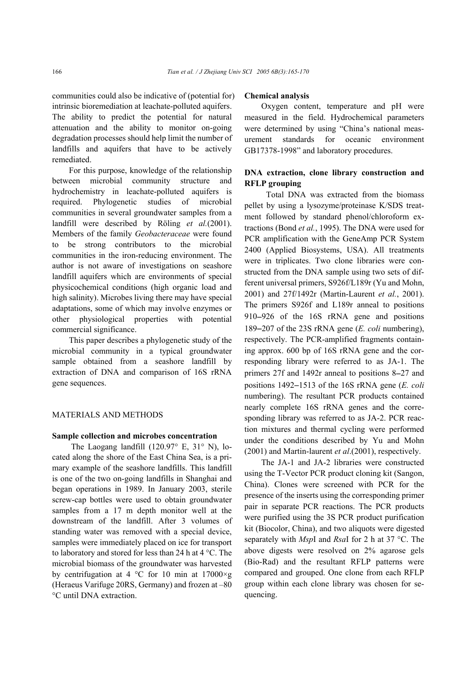communities could also be indicative of (potential for) intrinsic bioremediation at leachate-polluted aquifers. The ability to predict the potential for natural attenuation and the ability to monitor on-going degradation processes should help limit the number of landfills and aquifers that have to be actively remediated.

For this purpose, knowledge of the relationship between microbial community structure and hydrochemistry in leachate-polluted aquifers is required. Phylogenetic studies of microbial communities in several groundwater samples from a landfill were described by Röling *et al.*(2001). Members of the family *Geobacteraceae* were found to be strong contributors to the microbial communities in the iron-reducing environment. The author is not aware of investigations on seashore landfill aquifers which are environments of special physicochemical conditions (high organic load and high salinity). Microbes living there may have special adaptations, some of which may involve enzymes or other physiological properties with potential commercial significance.

This paper describes a phylogenetic study of the microbial community in a typical groundwater sample obtained from a seashore landfill by extraction of DNA and comparison of 16S rRNA gene sequences.

## MATERIALS AND METHODS

## **Sample collection and microbes concentration**

The Laogang landfill (120.97° E, 31° N), located along the shore of the East China Sea, is a primary example of the seashore landfills. This landfill is one of the two on-going landfills in Shanghai and began operations in 1989. In January 2003, sterile screw-cap bottles were used to obtain groundwater samples from a 17 m depth monitor well at the downstream of the landfill. After 3 volumes of standing water was removed with a special device, samples were immediately placed on ice for transport to laboratory and stored for less than 24 h at 4 °C. The microbial biomass of the groundwater was harvested by centrifugation at 4 °C for 10 min at 17000 $\times$ g (Heraeus Varifuge 20RS, Germany) and frozen at –80 °C until DNA extraction.

#### **Chemical analysis**

Oxygen content, temperature and pH were measured in the field. Hydrochemical parameters were determined by using "China's national measurement standards for oceanic environment GB17378-1998" and laboratory procedures.

# **DNA extraction, clone library construction and RFLP grouping**

Total DNA was extracted from the biomass pellet by using a lysozyme/proteinase K/SDS treatment followed by standard phenol/chloroform extractions (Bond *et al.*, 1995). The DNA were used for PCR amplification with the GeneAmp PCR System 2400 (Applied Biosystems, USA). All treatments were in triplicates. Two clone libraries were constructed from the DNA sample using two sets of different universal primers, S926f/L189r (Yu and Mohn, 2001) and 27f/1492r (Martin-Laurent *et al.*, 2001). The primers S926f and L189r anneal to positions 910−926 of the 16S rRNA gene and positions 189−207 of the 23S rRNA gene (*E. coli* numbering), respectively. The PCR-amplified fragments containing approx. 600 bp of 16S rRNA gene and the corresponding library were referred to as JA-1. The primers 27f and 1492r anneal to positions 8−27 and positions 1492−1513 of the 16S rRNA gene (*E. coli* numbering). The resultant PCR products contained nearly complete 16S rRNA genes and the corresponding library was referred to as JA-2. PCR reaction mixtures and thermal cycling were performed under the conditions described by Yu and Mohn (2001) and Martin-laurent *et al*.(2001), respectively.

The JA-1 and JA-2 libraries were constructed using the T-Vector PCR product cloning kit (Sangon, China). Clones were screened with PCR for the presence of the inserts using the corresponding primer pair in separate PCR reactions. The PCR products were purified using the 3S PCR product purification kit (Biocolor, China), and two aliquots were digested separately with *Msp*I and *Rsa*I for 2 h at 37 °C. The above digests were resolved on 2% agarose gels (Bio-Rad) and the resultant RFLP patterns were compared and grouped. One clone from each RFLP group within each clone library was chosen for sequencing.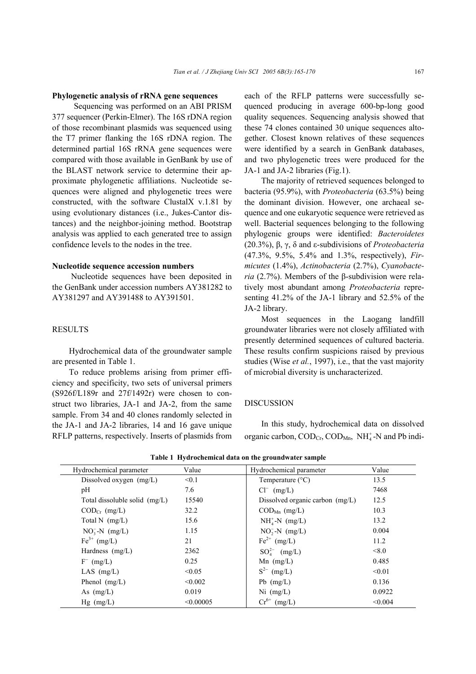#### **Phylogenetic analysis of rRNA gene sequences**

Sequencing was performed on an ABI PRISM 377 sequencer (Perkin-Elmer). The 16S rDNA region of those recombinant plasmids was sequenced using the T7 primer flanking the 16S rDNA region. The determined partial 16S rRNA gene sequences were compared with those available in GenBank by use of the BLAST network service to determine their approximate phylogenetic affiliations. Nucleotide sequences were aligned and phylogenetic trees were constructed, with the software ClustalX v.1.81 by using evolutionary distances (i.e., Jukes-Cantor distances) and the neighbor-joining method. Bootstrap analysis was applied to each generated tree to assign confidence levels to the nodes in the tree.

# **Nucleotide sequence accession numbers**

 Nucleotide sequences have been deposited in the GenBank under accession numbers AY381282 to AY381297 and AY391488 to AY391501.

## **RESULTS**

Hydrochemical data of the groundwater sample are presented in Table 1.

To reduce problems arising from primer efficiency and specificity, two sets of universal primers (S926f/L189r and 27f/1492r) were chosen to construct two libraries, JA-1 and JA-2, from the same sample. From 34 and 40 clones randomly selected in the JA-1 and JA-2 libraries, 14 and 16 gave unique RFLP patterns, respectively. Inserts of plasmids from each of the RFLP patterns were successfully sequenced producing in average 600-bp-long good quality sequences. Sequencing analysis showed that these 74 clones contained 30 unique sequences altogether. Closest known relatives of these sequences were identified by a search in GenBank databases, and two phylogenetic trees were produced for the JA-1 and JA-2 libraries (Fig.1).

The majority of retrieved sequences belonged to bacteria (95.9%), with *Proteobacteria* (63.5%) being the dominant division. However, one archaeal sequence and one eukaryotic sequence were retrieved as well. Bacterial sequences belonging to the following phylogenic groups were identified: *Bacteroidetes* (20.3%), β, γ, δ and ε-subdivisions of *Proteobacteria* (47.3%, 9.5%, 5.4% and 1.3%, respectively), *Firmicutes* (1.4%), *Actinobacteria* (2.7%), *Cyanobacteria* (2.7%). Members of the β-subdivision were relatively most abundant among *Proteobacteria* representing 41.2% of the JA-1 library and 52.5% of the JA-2 library.

Most sequences in the Laogang landfill groundwater libraries were not closely affiliated with presently determined sequences of cultured bacteria. These results confirm suspicions raised by previous studies (Wise *et al.*, 1997), i.e., that the vast majority of microbial diversity is uncharacterized.

### DISCUSSION

In this study, hydrochemical data on dissolved organic carbon,  $\text{COD}_{\text{Cr}}$ ,  $\text{COD}_{\text{Mn}}$ ,  $\text{NH}_4^+$ -N and Pb indi-

| Hydrochemical parameter         | Value     | Hydrochemical parameter             | Value   |
|---------------------------------|-----------|-------------------------------------|---------|
| Dissolved oxygen (mg/L)         | < 0.1     | Temperature $(^{\circ}C)$           | 13.5    |
| pH                              | 7.6       | $Cl^{-}$ (mg/L)                     | 7468    |
| Total dissoluble solid $(mg/L)$ | 15540     | Dissolved organic carbon $(mg/L)$   | 12.5    |
| $\text{COD}_{Cr}$ (mg/L)        | 32.2      | $\mathrm{COD}_{\mathrm{Mn}}$ (mg/L) | 10.3    |
| Total N $(mg/L)$                | 15.6      | $NH4+-N$ (mg/L)                     | 13.2    |
| $NO3-N$ (mg/L)                  | 1.15      | $NO2 - N$ (mg/L)                    | 0.004   |
| $\text{Fe}^{3+}$ (mg/L)         | 21        | $\mathrm{Fe}^{2+}$ (mg/L)           | 11.2    |
| Hardness $(mg/L)$               | 2362      | $SO_4^{2-}$ (mg/L)                  | < 8.0   |
| $F^{-}$ (mg/L)                  | 0.25      | Mn $(mg/L)$                         | 0.485   |
| LAS $(mg/L)$                    | < 0.05    | $S^{2-}$ (mg/L)                     | < 0.01  |
| Phenol $(mg/L)$                 | < 0.002   | Pb $(mg/L)$                         | 0.136   |
| As $(mg/L)$                     | 0.019     | $Ni$ (mg/L)                         | 0.0922  |
| $Hg$ (mg/L)                     | < 0.00005 | $Cr^{6+}$ (mg/L)                    | < 0.004 |

**Table 1 Hydrochemical data on the groundwater sample**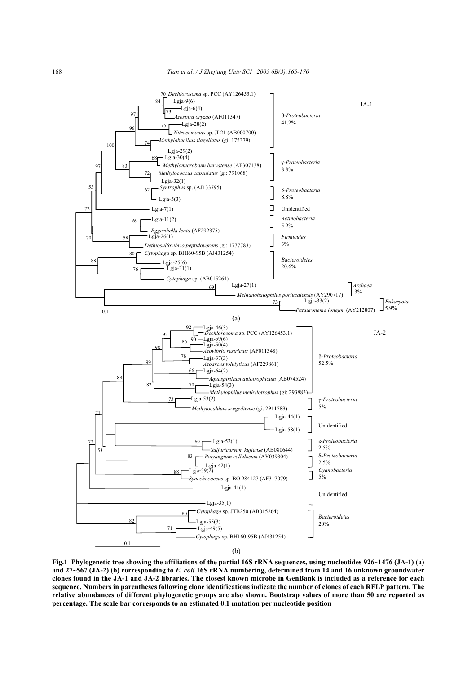

**Fig.1 Phylogenetic tree showing the affiliations of the partial 16S rRNA sequences, using nucleotides 926~1476 (JA-1) (a) and 27~567 (JA-2) (b) corresponding to** *E. coli* **16S rRNA numbering, determined from 14 and 16 unknown groundwater clones found in the JA-1 and JA-2 libraries. The closest known microbe in GenBank is included as a reference for each sequence. Numbers in parentheses following clone identifications indicate the number of clones of each RFLP pattern. The relative abundances of different phylogenetic groups are also shown. Bootstrap values of more than 50 are reported as percentage. The scale bar corresponds to an estimated 0.1 mutation per nucleotide position**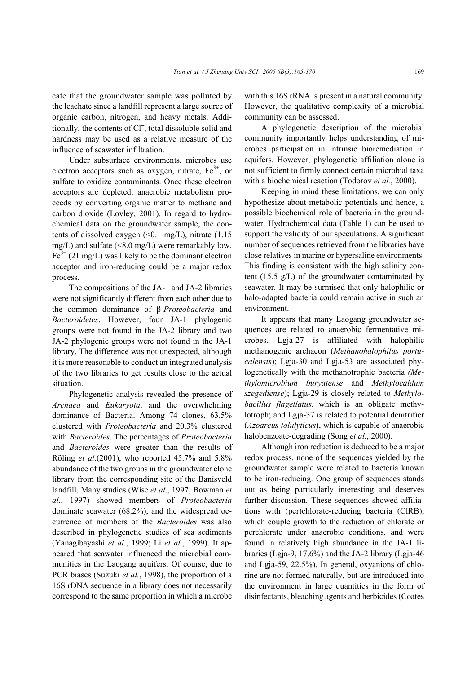cate that the groundwater sample was polluted by the leachate since a landfill represent a large source of organic carbon, nitrogen, and heavy metals. Additionally, the contents of Cl<sup>−</sup> , total dissoluble solid and hardness may be used as a relative measure of the influence of seawater infiltration.

Under subsurface environments, microbes use electron acceptors such as oxygen, nitrate,  $Fe<sup>3+</sup>$ , or sulfate to oxidize contaminants. Once these electron acceptors are depleted, anaerobic metabolism proceeds by converting organic matter to methane and carbon dioxide (Lovley, 2001). In regard to hydrochemical data on the groundwater sample, the contents of dissolved oxygen  $( $0.1 \text{ mg/L}$ ), nitrate  $(1.15 \text{ g})$$ mg/L) and sulfate  $(<8.0$  mg/L) were remarkably low.  $Fe<sup>3+</sup>$  (21 mg/L) was likely to be the dominant electron acceptor and iron-reducing could be a major redox process.

The compositions of the JA-1 and JA-2 libraries were not significantly different from each other due to the common dominance of β-*Proteobacteria* and *Bacteroidetes*. However, four JA-1 phylogenic groups were not found in the JA-2 library and two JA-2 phylogenic groups were not found in the JA-1 library. The difference was not unexpected, although it is more reasonable to conduct an integrated analysis of the two libraries to get results close to the actual situation.

Phylogenetic analysis revealed the presence of *Archaea* and *Eukaryota*, and the overwhelming dominance of Bacteria. Among 74 clones, 63.5% clustered with *Proteobacteria* and 20.3% clustered with *Bacteroides*. The percentages of *Proteobacteria* and *Bacteroides* were greater than the results of Röling *et al*.(2001), who reported 45.7% and 5.8% abundance of the two groups in the groundwater clone library from the corresponding site of the Banisveld landfill. Many studies (Wise *et al*., 1997; Bowman *et al.*, 1997) showed members of *Proteobacteria* dominate seawater (68.2%), and the widespread occurrence of members of the *Bacteroides* was also described in phylogenetic studies of sea sediments (Yanagibayashi *et al.*, 1999; Li *et al.*, 1999). It appeared that seawater influenced the microbial communities in the Laogang aquifers. Of course, due to PCR biases (Suzuki *et al.*, 1998), the proportion of a 16S rDNA sequence in a library does not necessarily correspond to the same proportion in which a microbe

with this 16S rRNA is present in a natural community. However, the qualitative complexity of a microbial community can be assessed.

A phylogenetic description of the microbial community importantly helps understanding of microbes participation in intrinsic bioremediation in aquifers. However, phylogenetic affiliation alone is not sufficient to firmly connect certain microbial taxa with a biochemical reaction (Todorov *et al.*, 2000).

Keeping in mind these limitations, we can only hypothesize about metabolic potentials and hence, a possible biochemical role of bacteria in the groundwater. Hydrochemical data (Table 1) can be used to support the validity of our speculations. A significant number of sequences retrieved from the libraries have close relatives in marine or hypersaline environments. This finding is consistent with the high salinity content (15.5 g/L) of the groundwater contaminated by seawater. It may be surmised that only halophilic or halo-adapted bacteria could remain active in such an environment.

It appears that many Laogang groundwater sequences are related to anaerobic fermentative microbes. Lgja-27 is affiliated with halophilic methanogenic archaeon (*Methanohalophilus portucalensis*); Lgja-30 and Lgja-53 are associated phylogenetically with the methanotrophic bacteria *(Methylomicrobium buryatense* and *Methylocaldum szegediense*); Lgja-29 is closely related to *Methylobacillus flagellatus*, which is an obligate methylotroph; and Lgja-37 is related to potential denitrifier (*Azoarcus tolulyticus*), which is capable of anaerobic halobenzoate-degrading (Song *et al.*, 2000).

Although iron reduction is deduced to be a major redox process, none of the sequences yielded by the groundwater sample were related to bacteria known to be iron-reducing. One group of sequences stands out as being particularly interesting and deserves further discussion. These sequences showed affiliations with (per)chlorate-reducing bacteria (ClRB), which couple growth to the reduction of chlorate or perchlorate under anaerobic conditions, and were found in relatively high abundance in the JA-1 libraries (Lgja-9, 17.6%) and the JA-2 library (Lgja-46 and Lgja-59, 22.5%). In general, oxyanions of chlorine are not formed naturally, but are introduced into the environment in large quantities in the form of disinfectants, bleaching agents and herbicides (Coates